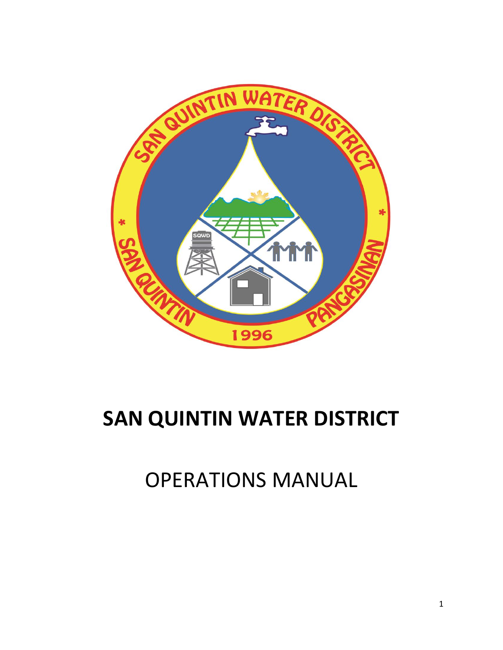

# **SAN QUINTIN WATER DISTRICT**

OPERATIONS MANUAL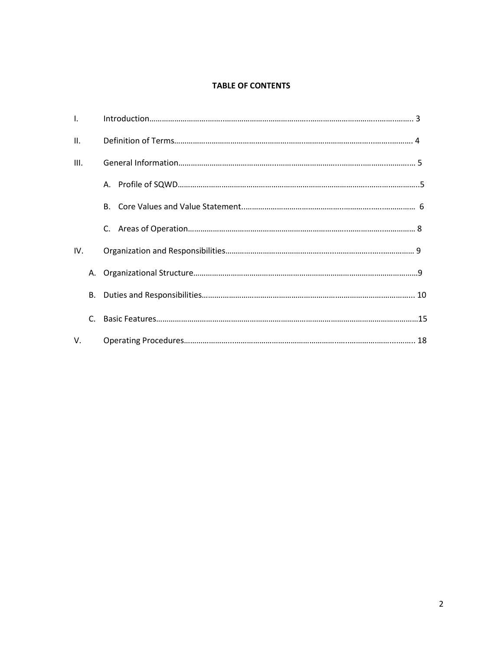# **TABLE OF CONTENTS**

| $\mathbf{L}$ |    |           |  |
|--------------|----|-----------|--|
| II.          |    |           |  |
| III.         |    |           |  |
|              |    |           |  |
|              |    | <b>B.</b> |  |
|              |    | C.        |  |
| IV.          |    |           |  |
|              | А. |           |  |
|              | В. |           |  |
|              | C. |           |  |
| V.           |    |           |  |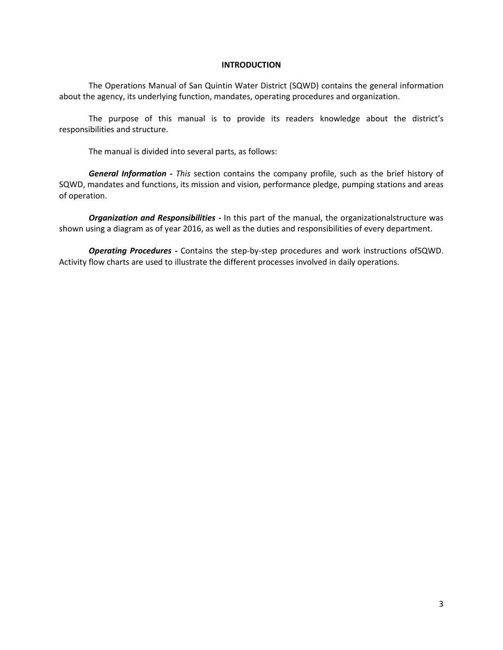#### **INTRODUCTION**

The Operations Manual of San Quintin Water District (SQWD) contains the general information about the agency, its underlying function, mandates, operating procedures and organization.

The purpose of this manual is to provide its readers knowledge about the district's responsibilities and structure.

The manual is divided into several parts, as follows:

*General Information - This* section contains the company profile, such as the brief history of SQWD, mandates and functions, its mission and vision, performance pledge, pumping stations and areas of operation.

*Organization and Responsibilities -* In this part of the manual, the organizationalstructure was shown using a diagram as of year 2016, as well as the duties and responsibilities of every department.

*Operating Procedures -* Contains the step-by-step procedures and work instructions ofSQWD. Activity flow charts are used to illustrate the different processes involved in daily operations.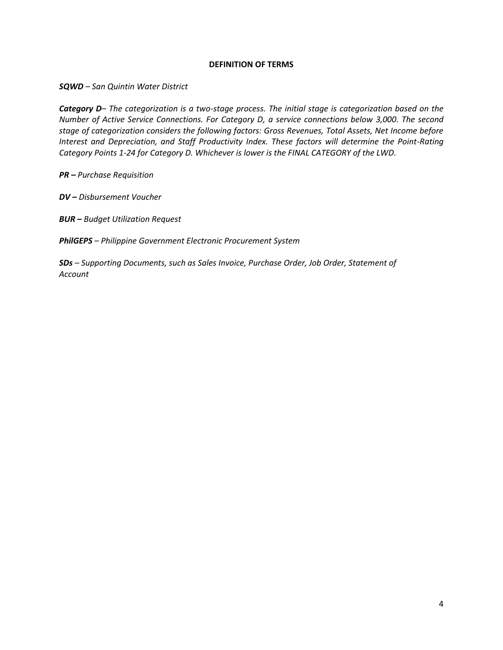# **DEFINITION OF TERMS**

*SQWD – San Quintin Water District*

*Category D– The categorization is a two-stage process. The initial stage is categorization based on the Number of Active Service Connections. For Category D, a service connections below 3,000. The second stage of categorization considers the following factors: Gross Revenues, Total Assets, Net Income before Interest and Depreciation, and Staff Productivity Index. These factors will determine the Point-Rating Category Points 1-24 for Category D. Whichever is lower is the FINAL CATEGORY of the LWD.*

*PR – Purchase Requisition*

*DV – Disbursement Voucher*

*BUR – Budget Utilization Request*

*PhilGEPS – Philippine Government Electronic Procurement System*

*SDs – Supporting Documents, such as Sales Invoice, Purchase Order, Job Order, Statement of Account*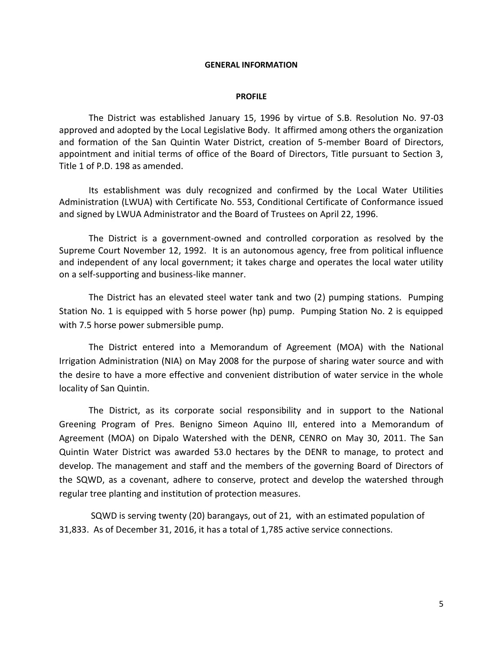#### **GENERAL INFORMATION**

#### **PROFILE**

The District was established January 15, 1996 by virtue of S.B. Resolution No. 97-03 approved and adopted by the Local Legislative Body. It affirmed among others the organization and formation of the San Quintin Water District, creation of 5-member Board of Directors, appointment and initial terms of office of the Board of Directors, Title pursuant to Section 3, Title 1 of P.D. 198 as amended.

Its establishment was duly recognized and confirmed by the Local Water Utilities Administration (LWUA) with Certificate No. 553, Conditional Certificate of Conformance issued and signed by LWUA Administrator and the Board of Trustees on April 22, 1996.

The District is a government-owned and controlled corporation as resolved by the Supreme Court November 12, 1992. It is an autonomous agency, free from political influence and independent of any local government; it takes charge and operates the local water utility on a self-supporting and business-like manner.

The District has an elevated steel water tank and two (2) pumping stations. Pumping Station No. 1 is equipped with 5 horse power (hp) pump. Pumping Station No. 2 is equipped with 7.5 horse power submersible pump.

The District entered into a Memorandum of Agreement (MOA) with the National Irrigation Administration (NIA) on May 2008 for the purpose of sharing water source and with the desire to have a more effective and convenient distribution of water service in the whole locality of San Quintin.

The District, as its corporate social responsibility and in support to the National Greening Program of Pres. Benigno Simeon Aquino III, entered into a Memorandum of Agreement (MOA) on Dipalo Watershed with the DENR, CENRO on May 30, 2011. The San Quintin Water District was awarded 53.0 hectares by the DENR to manage, to protect and develop. The management and staff and the members of the governing Board of Directors of the SQWD, as a covenant, adhere to conserve, protect and develop the watershed through regular tree planting and institution of protection measures.

SQWD is serving twenty (20) barangays, out of 21, with an estimated population of 31,833. As of December 31, 2016, it has a total of 1,785 active service connections.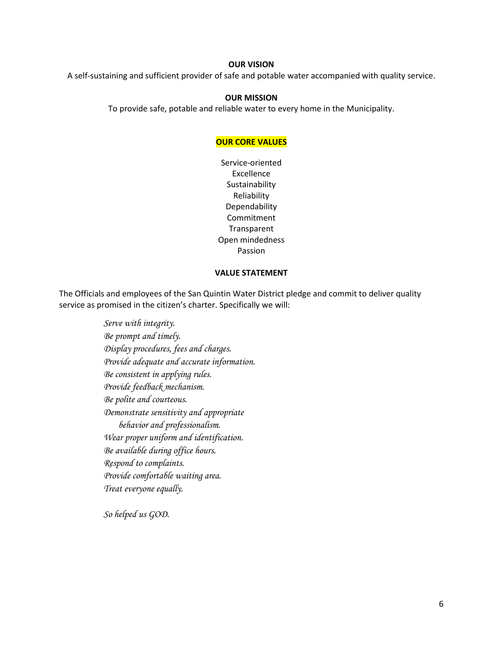#### **OUR VISION**

A self-sustaining and sufficient provider of safe and potable water accompanied with quality service.

#### **OUR MISSION**

To provide safe, potable and reliable water to every home in the Municipality.

## **OUR CORE VALUES**

Service-oriented Excellence Sustainability Reliability Dependability Commitment Transparent Open mindedness Passion

#### **VALUE STATEMENT**

The Officials and employees of the San Quintin Water District pledge and commit to deliver quality service as promised in the citizen's charter. Specifically we will:

> *Serve with integrity. Be prompt and timely. Display procedures, fees and charges. Provide adequate and accurate information. Be consistent in applying rules. Provide feedback mechanism. Be polite and courteous. Demonstrate sensitivity and appropriate behavior and professionalism. Wear proper uniform and identification. Be available during office hours. Respond to complaints. Provide comfortable waiting area. Treat everyone equally.*

*So helped us GOD.*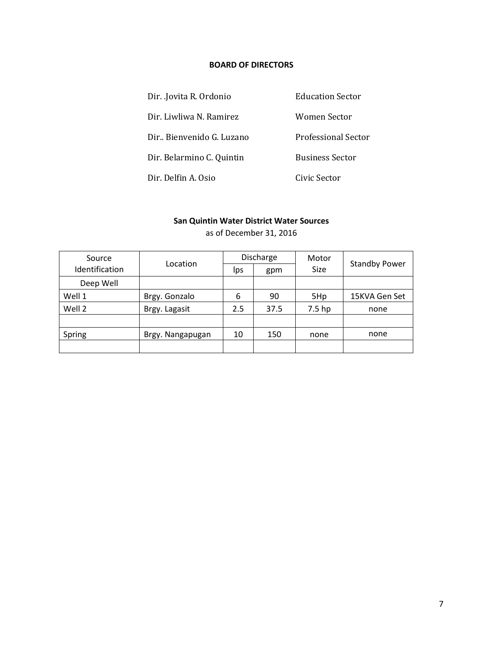# **BOARD OF DIRECTORS**

| Dir. Jovita R. Ordonio     | <b>Education Sector</b>    |  |  |
|----------------------------|----------------------------|--|--|
| Dir. Liwliwa N. Ramirez    | Women Sector               |  |  |
| Dir., Bienvenido G. Luzano | <b>Professional Sector</b> |  |  |
| Dir. Belarmino C. Quintin  | <b>Business Sector</b>     |  |  |
| Dir. Delfin A. Osio        | Civic Sector               |  |  |

# **San Quintin Water District Water Sources**

| Source         | Location         | Discharge |      | Motor       | <b>Standby Power</b> |
|----------------|------------------|-----------|------|-------------|----------------------|
| Identification |                  | Ips       | gpm  | <b>Size</b> |                      |
| Deep Well      |                  |           |      |             |                      |
| Well 1         | Brgy. Gonzalo    | 6         | 90   | 5Hp         | 15KVA Gen Set        |
| Well 2         | Brgy. Lagasit    | 2.5       | 37.5 | 7.5 hp      | none                 |
|                |                  |           |      |             |                      |
| Spring         | Brgy. Nangapugan | 10        | 150  | none        | none                 |
|                |                  |           |      |             |                      |

as of December 31, 2016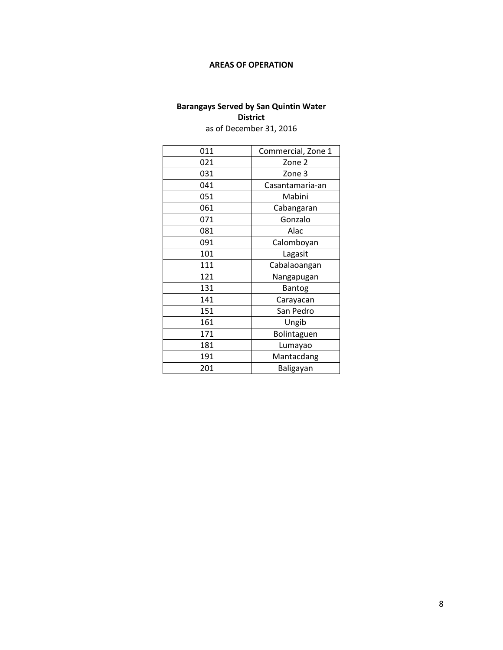# **AREAS OF OPERATION**

# **Barangays Served by San Quintin Water District**

as of December 31, 2016

| 011 | Commercial, Zone 1 |
|-----|--------------------|
| 021 | Zone 2             |
| 031 | Zone 3             |
| 041 | Casantamaria-an    |
| 051 | Mabini             |
| 061 | Cabangaran         |
| 071 | Gonzalo            |
| 081 | Alac               |
| 091 | Calomboyan         |
| 101 | Lagasit            |
| 111 | Cabalaoangan       |
| 121 | Nangapugan         |
| 131 | Bantog             |
| 141 | Carayacan          |
| 151 | San Pedro          |
| 161 | Ungib              |
| 171 | Bolintaguen        |
| 181 | Lumayao            |
| 191 | Mantacdang         |
| 201 | Baligayan          |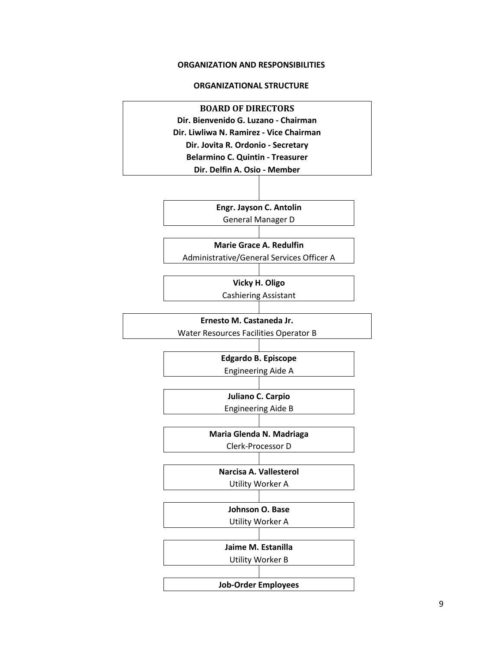#### **ORGANIZATION AND RESPONSIBILITIES**

### **ORGANIZATIONAL STRUCTURE**

**BOARD OF DIRECTORS Dir. Bienvenido G. Luzano - Chairman Dir. Liwliwa N. Ramirez - Vice Chairman Dir. Jovita R. Ordonio - Secretary Belarmino C. Quintin - Treasurer Dir. Delfin A. Osio - Member**

> **Engr. Jayson C. Antolin** General Manager D

**Marie Grace A. Redulfin**

Administrative/General Services Officer A

**Vicky H. Oligo**

Cashiering Assistant

**Ernesto M. Castaneda Jr.**

Water Resources Facilities Operator B

**Edgardo B. Episcope** Engineering Aide A

**Juliano C. Carpio** Engineering Aide B

**Maria Glenda N. Madriaga** Clerk-Processor D

**Narcisa A. Vallesterol** Utility Worker A

**Johnson O. Base**

Utility Worker A

**Jaime M. Estanilla**

Utility Worker B

**Job-Order Employees**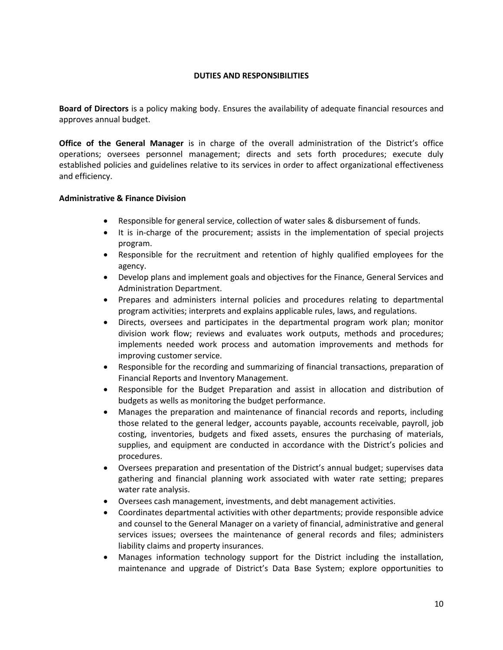# **DUTIES AND RESPONSIBILITIES**

**Board of Directors** is a policy making body. Ensures the availability of adequate financial resources and approves annual budget.

**Office of the General Manager** is in charge of the overall administration of the District's office operations; oversees personnel management; directs and sets forth procedures; execute duly established policies and guidelines relative to its services in order to affect organizational effectiveness and efficiency.

# **Administrative & Finance Division**

- Responsible for general service, collection of water sales & disbursement of funds.
- It is in-charge of the procurement; assists in the implementation of special projects program.
- Responsible for the recruitment and retention of highly qualified employees for the agency.
- Develop plans and implement goals and objectives for the Finance, General Services and Administration Department.
- Prepares and administers internal policies and procedures relating to departmental program activities; interprets and explains applicable rules, laws, and regulations.
- Directs, oversees and participates in the departmental program work plan; monitor division work flow; reviews and evaluates work outputs, methods and procedures; implements needed work process and automation improvements and methods for improving customer service.
- Responsible for the recording and summarizing of financial transactions, preparation of Financial Reports and Inventory Management.
- Responsible for the Budget Preparation and assist in allocation and distribution of budgets as wells as monitoring the budget performance.
- Manages the preparation and maintenance of financial records and reports, including those related to the general ledger, accounts payable, accounts receivable, payroll, job costing, inventories, budgets and fixed assets, ensures the purchasing of materials, supplies, and equipment are conducted in accordance with the District's policies and procedures.
- Oversees preparation and presentation of the District's annual budget; supervises data gathering and financial planning work associated with water rate setting; prepares water rate analysis.
- Oversees cash management, investments, and debt management activities.
- Coordinates departmental activities with other departments; provide responsible advice and counsel to the General Manager on a variety of financial, administrative and general services issues; oversees the maintenance of general records and files; administers liability claims and property insurances.
- Manages information technology support for the District including the installation, maintenance and upgrade of District's Data Base System; explore opportunities to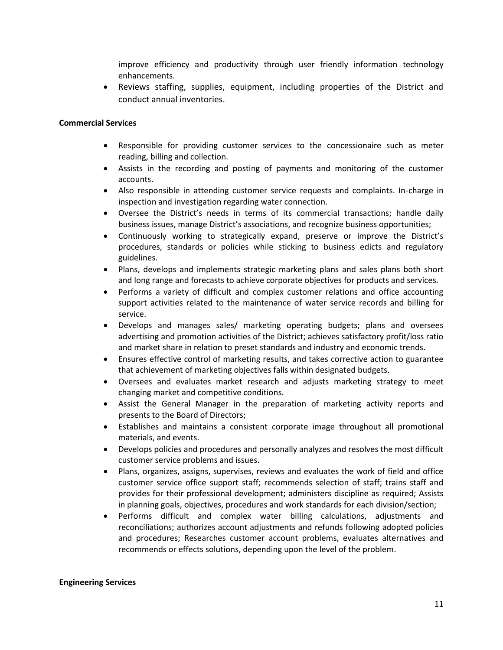improve efficiency and productivity through user friendly information technology enhancements.

 Reviews staffing, supplies, equipment, including properties of the District and conduct annual inventories.

### **Commercial Services**

- Responsible for providing customer services to the concessionaire such as meter reading, billing and collection.
- Assists in the recording and posting of payments and monitoring of the customer accounts.
- Also responsible in attending customer service requests and complaints. In-charge in inspection and investigation regarding water connection.
- Oversee the District's needs in terms of its commercial transactions; handle daily business issues, manage District's associations, and recognize business opportunities;
- Continuously working to strategically expand, preserve or improve the District's procedures, standards or policies while sticking to business edicts and regulatory guidelines.
- Plans, develops and implements strategic marketing plans and sales plans both short and long range and forecasts to achieve corporate objectives for products and services.
- Performs a variety of difficult and complex customer relations and office accounting support activities related to the maintenance of water service records and billing for service.
- Develops and manages sales/ marketing operating budgets; plans and oversees advertising and promotion activities of the District; achieves satisfactory profit/loss ratio and market share in relation to preset standards and industry and economic trends.
- Ensures effective control of marketing results, and takes corrective action to guarantee that achievement of marketing objectives falls within designated budgets.
- Oversees and evaluates market research and adjusts marketing strategy to meet changing market and competitive conditions.
- Assist the General Manager in the preparation of marketing activity reports and presents to the Board of Directors;
- Establishes and maintains a consistent corporate image throughout all promotional materials, and events.
- Develops policies and procedures and personally analyzes and resolves the most difficult customer service problems and issues.
- Plans, organizes, assigns, supervises, reviews and evaluates the work of field and office customer service office support staff; recommends selection of staff; trains staff and provides for their professional development; administers discipline as required; Assists in planning goals, objectives, procedures and work standards for each division/section;
- Performs difficult and complex water billing calculations, adjustments and reconciliations; authorizes account adjustments and refunds following adopted policies and procedures; Researches customer account problems, evaluates alternatives and recommends or effects solutions, depending upon the level of the problem.

#### **Engineering Services**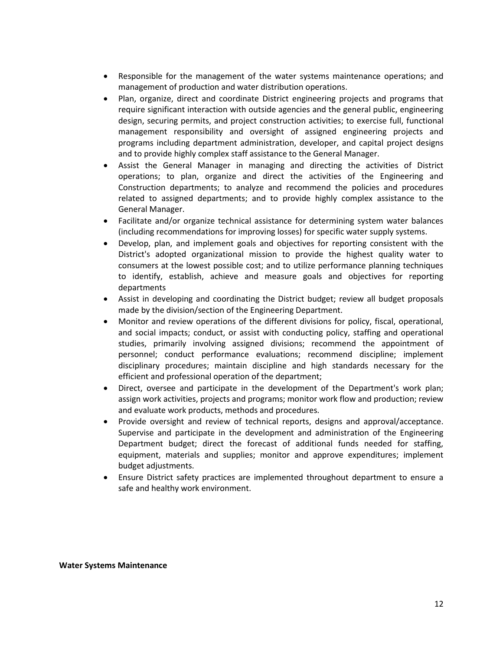- Responsible for the management of the water systems maintenance operations; and management of production and water distribution operations.
- Plan, organize, direct and coordinate District engineering projects and programs that require significant interaction with outside agencies and the general public, engineering design, securing permits, and project construction activities; to exercise full, functional management responsibility and oversight of assigned engineering projects and programs including department administration, developer, and capital project designs and to provide highly complex staff assistance to the General Manager.
- Assist the General Manager in managing and directing the activities of District operations; to plan, organize and direct the activities of the Engineering and Construction departments; to analyze and recommend the policies and procedures related to assigned departments; and to provide highly complex assistance to the General Manager.
- Facilitate and/or organize technical assistance for determining system water balances (including recommendations for improving losses) for specific water supply systems.
- Develop, plan, and implement goals and objectives for reporting consistent with the District's adopted organizational mission to provide the highest quality water to consumers at the lowest possible cost; and to utilize performance planning techniques to identify, establish, achieve and measure goals and objectives for reporting departments
- Assist in developing and coordinating the District budget; review all budget proposals made by the division/section of the Engineering Department.
- Monitor and review operations of the different divisions for policy, fiscal, operational, and social impacts; conduct, or assist with conducting policy, staffing and operational studies, primarily involving assigned divisions; recommend the appointment of personnel; conduct performance evaluations; recommend discipline; implement disciplinary procedures; maintain discipline and high standards necessary for the efficient and professional operation of the department;
- Direct, oversee and participate in the development of the Department's work plan; assign work activities, projects and programs; monitor work flow and production; review and evaluate work products, methods and procedures.
- Provide oversight and review of technical reports, designs and approval/acceptance. Supervise and participate in the development and administration of the Engineering Department budget; direct the forecast of additional funds needed for staffing, equipment, materials and supplies; monitor and approve expenditures; implement budget adjustments.
- Ensure District safety practices are implemented throughout department to ensure a safe and healthy work environment.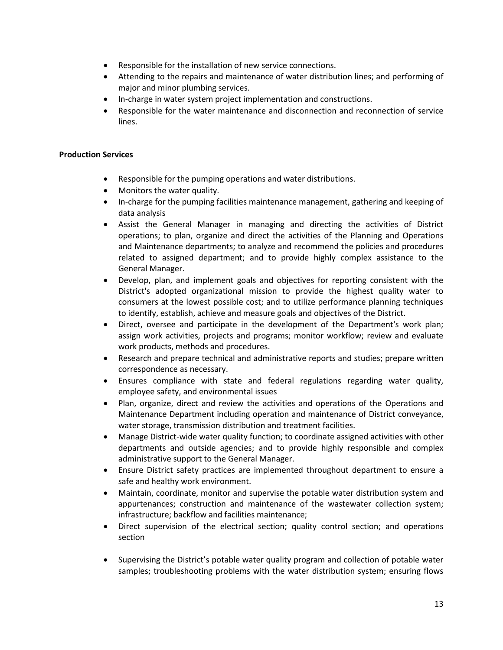- Responsible for the installation of new service connections.
- Attending to the repairs and maintenance of water distribution lines; and performing of major and minor plumbing services.
- In-charge in water system project implementation and constructions.
- Responsible for the water maintenance and disconnection and reconnection of service lines.

# **Production Services**

- Responsible for the pumping operations and water distributions.
- Monitors the water quality.
- In-charge for the pumping facilities maintenance management, gathering and keeping of data analysis
- Assist the General Manager in managing and directing the activities of District operations; to plan, organize and direct the activities of the Planning and Operations and Maintenance departments; to analyze and recommend the policies and procedures related to assigned department; and to provide highly complex assistance to the General Manager.
- Develop, plan, and implement goals and objectives for reporting consistent with the District's adopted organizational mission to provide the highest quality water to consumers at the lowest possible cost; and to utilize performance planning techniques to identify, establish, achieve and measure goals and objectives of the District.
- Direct, oversee and participate in the development of the Department's work plan; assign work activities, projects and programs; monitor workflow; review and evaluate work products, methods and procedures.
- Research and prepare technical and administrative reports and studies; prepare written correspondence as necessary.
- Ensures compliance with state and federal regulations regarding water quality, employee safety, and environmental issues
- Plan, organize, direct and review the activities and operations of the Operations and Maintenance Department including operation and maintenance of District conveyance, water storage, transmission distribution and treatment facilities.
- Manage District-wide water quality function; to coordinate assigned activities with other departments and outside agencies; and to provide highly responsible and complex administrative support to the General Manager.
- Ensure District safety practices are implemented throughout department to ensure a safe and healthy work environment.
- Maintain, coordinate, monitor and supervise the potable water distribution system and appurtenances; construction and maintenance of the wastewater collection system; infrastructure; backflow and facilities maintenance;
- Direct supervision of the electrical section; quality control section; and operations section
- Supervising the District's potable water quality program and collection of potable water samples; troubleshooting problems with the water distribution system; ensuring flows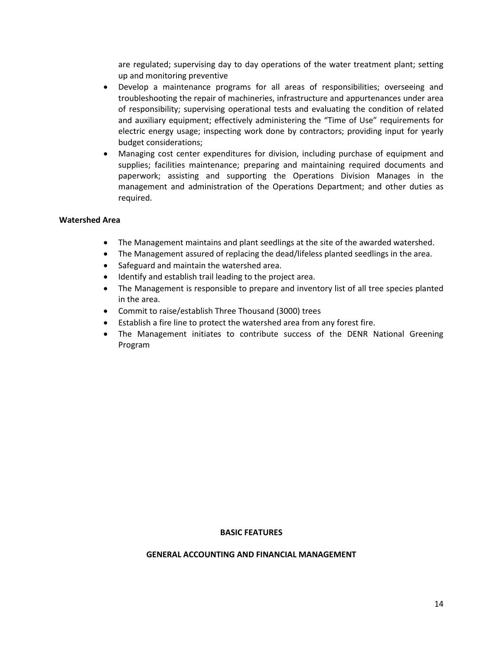are regulated; supervising day to day operations of the water treatment plant; setting up and monitoring preventive

- Develop a maintenance programs for all areas of responsibilities; overseeing and troubleshooting the repair of machineries, infrastructure and appurtenances under area of responsibility; supervising operational tests and evaluating the condition of related and auxiliary equipment; effectively administering the "Time of Use" requirements for electric energy usage; inspecting work done by contractors; providing input for yearly budget considerations;
- Managing cost center expenditures for division, including purchase of equipment and supplies; facilities maintenance; preparing and maintaining required documents and paperwork; assisting and supporting the Operations Division Manages in the management and administration of the Operations Department; and other duties as required.

# **Watershed Area**

- The Management maintains and plant seedlings at the site of the awarded watershed.
- The Management assured of replacing the dead/lifeless planted seedlings in the area.
- Safeguard and maintain the watershed area.
- Identify and establish trail leading to the project area.
- The Management is responsible to prepare and inventory list of all tree species planted in the area.
- Commit to raise/establish Three Thousand (3000) trees
- Establish a fire line to protect the watershed area from any forest fire.
- The Management initiates to contribute success of the DENR National Greening Program

#### **BASIC FEATURES**

#### **GENERAL ACCOUNTING AND FINANCIAL MANAGEMENT**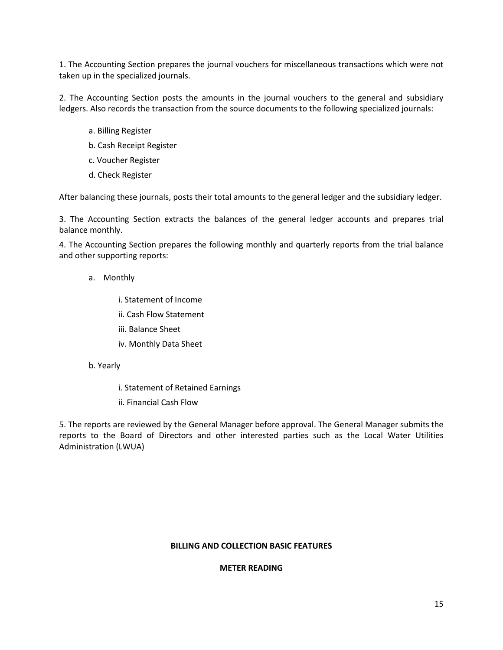1. The Accounting Section prepares the journal vouchers for miscellaneous transactions which were not taken up in the specialized journals.

2. The Accounting Section posts the amounts in the journal vouchers to the general and subsidiary ledgers. Also records the transaction from the source documents to the following specialized journals:

- a. Billing Register
- b. Cash Receipt Register
- c. Voucher Register
- d. Check Register

After balancing these journals, posts their total amounts to the general ledger and the subsidiary ledger.

3. The Accounting Section extracts the balances of the general ledger accounts and prepares trial balance monthly.

4. The Accounting Section prepares the following monthly and quarterly reports from the trial balance and other supporting reports:

a. Monthly

i. Statement of Income

ii. Cash Flow Statement

- iii. Balance Sheet
- iv. Monthly Data Sheet
- b. Yearly
	- i. Statement of Retained Earnings
	- ii. Financial Cash Flow

5. The reports are reviewed by the General Manager before approval. The General Manager submits the reports to the Board of Directors and other interested parties such as the Local Water Utilities Administration (LWUA)

#### **BILLING AND COLLECTION BASIC FEATURES**

#### **METER READING**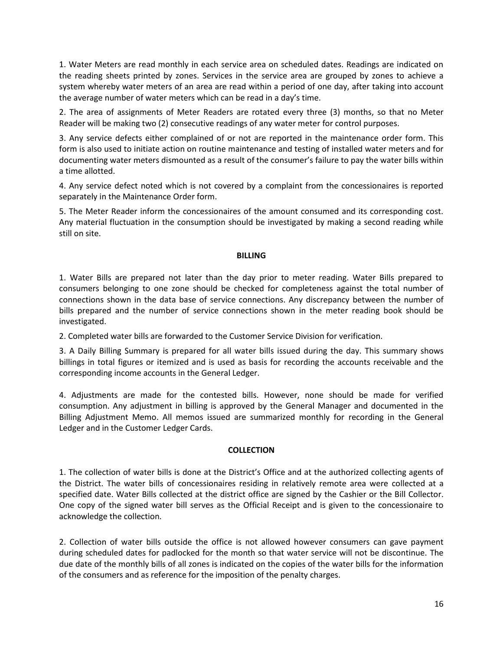1. Water Meters are read monthly in each service area on scheduled dates. Readings are indicated on the reading sheets printed by zones. Services in the service area are grouped by zones to achieve a system whereby water meters of an area are read within a period of one day, after taking into account the average number of water meters which can be read in a day's time.

2. The area of assignments of Meter Readers are rotated every three (3) months, so that no Meter Reader will be making two (2) consecutive readings of any water meter for control purposes.

3. Any service defects either complained of or not are reported in the maintenance order form. This form is also used to initiate action on routine maintenance and testing of installed water meters and for documenting water meters dismounted as a result of the consumer's failure to pay the water bills within a time allotted.

4. Any service defect noted which is not covered by a complaint from the concessionaires is reported separately in the Maintenance Order form.

5. The Meter Reader inform the concessionaires of the amount consumed and its corresponding cost. Any material fluctuation in the consumption should be investigated by making a second reading while still on site.

# **BILLING**

1. Water Bills are prepared not later than the day prior to meter reading. Water Bills prepared to consumers belonging to one zone should be checked for completeness against the total number of connections shown in the data base of service connections. Any discrepancy between the number of bills prepared and the number of service connections shown in the meter reading book should be investigated.

2. Completed water bills are forwarded to the Customer Service Division for verification.

3. A Daily Billing Summary is prepared for all water bills issued during the day. This summary shows billings in total figures or itemized and is used as basis for recording the accounts receivable and the corresponding income accounts in the General Ledger.

4. Adjustments are made for the contested bills. However, none should be made for verified consumption. Any adjustment in billing is approved by the General Manager and documented in the Billing Adjustment Memo. All memos issued are summarized monthly for recording in the General Ledger and in the Customer Ledger Cards.

# **COLLECTION**

1. The collection of water bills is done at the District's Office and at the authorized collecting agents of the District. The water bills of concessionaires residing in relatively remote area were collected at a specified date. Water Bills collected at the district office are signed by the Cashier or the Bill Collector. One copy of the signed water bill serves as the Official Receipt and is given to the concessionaire to acknowledge the collection.

2. Collection of water bills outside the office is not allowed however consumers can gave payment during scheduled dates for padlocked for the month so that water service will not be discontinue. The due date of the monthly bills of all zones is indicated on the copies of the water bills for the information of the consumers and as reference for the imposition of the penalty charges.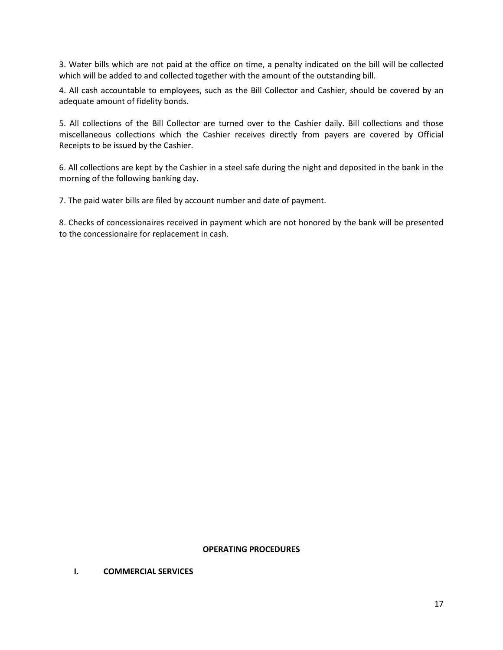3. Water bills which are not paid at the office on time, a penalty indicated on the bill will be collected which will be added to and collected together with the amount of the outstanding bill.

4. All cash accountable to employees, such as the Bill Collector and Cashier, should be covered by an adequate amount of fidelity bonds.

5. All collections of the Bill Collector are turned over to the Cashier daily. Bill collections and those miscellaneous collections which the Cashier receives directly from payers are covered by Official Receipts to be issued by the Cashier.

6. All collections are kept by the Cashier in a steel safe during the night and deposited in the bank in the morning of the following banking day.

7. The paid water bills are filed by account number and date of payment.

8. Checks of concessionaires received in payment which are not honored by the bank will be presented to the concessionaire for replacement in cash.

### **OPERATING PROCEDURES**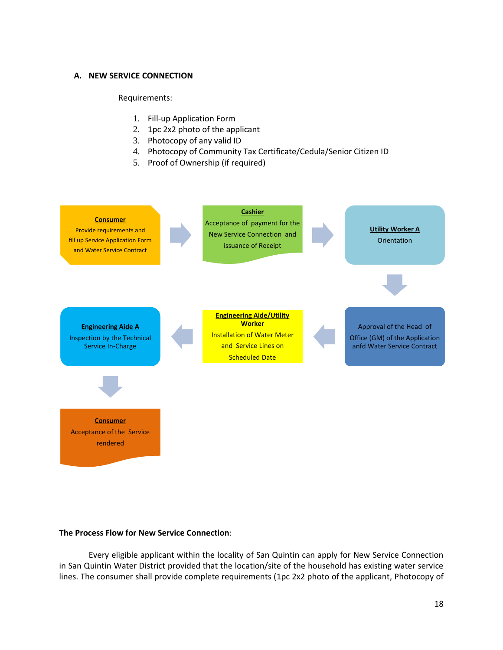### **A. NEW SERVICE CONNECTION**

#### Requirements:

- 1. Fill-up Application Form
- 2. 1pc 2x2 photo of the applicant
- 3. Photocopy of any valid ID
- 4. Photocopy of Community Tax Certificate/Cedula/Senior Citizen ID
- 5. Proof of Ownership (if required)



#### **The Process Flow for New Service Connection**:

Every eligible applicant within the locality of San Quintin can apply for New Service Connection in San Quintin Water District provided that the location/site of the household has existing water service lines. The consumer shall provide complete requirements (1pc 2x2 photo of the applicant, Photocopy of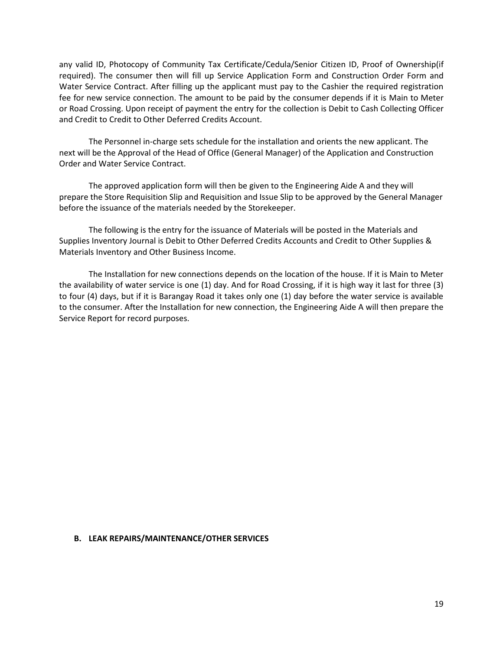any valid ID, Photocopy of Community Tax Certificate/Cedula/Senior Citizen ID, Proof of Ownership(if required). The consumer then will fill up Service Application Form and Construction Order Form and Water Service Contract. After filling up the applicant must pay to the Cashier the required registration fee for new service connection. The amount to be paid by the consumer depends if it is Main to Meter or Road Crossing. Upon receipt of payment the entry for the collection is Debit to Cash Collecting Officer and Credit to Credit to Other Deferred Credits Account.

The Personnel in-charge sets schedule for the installation and orients the new applicant. The next will be the Approval of the Head of Office (General Manager) of the Application and Construction Order and Water Service Contract.

The approved application form will then be given to the Engineering Aide A and they will prepare the Store Requisition Slip and Requisition and Issue Slip to be approved by the General Manager before the issuance of the materials needed by the Storekeeper.

The following is the entry for the issuance of Materials will be posted in the Materials and Supplies Inventory Journal is Debit to Other Deferred Credits Accounts and Credit to Other Supplies & Materials Inventory and Other Business Income.

The Installation for new connections depends on the location of the house. If it is Main to Meter the availability of water service is one (1) day. And for Road Crossing, if it is high way it last for three (3) to four (4) days, but if it is Barangay Road it takes only one (1) day before the water service is available to the consumer. After the Installation for new connection, the Engineering Aide A will then prepare the Service Report for record purposes.

#### **B. LEAK REPAIRS/MAINTENANCE/OTHER SERVICES**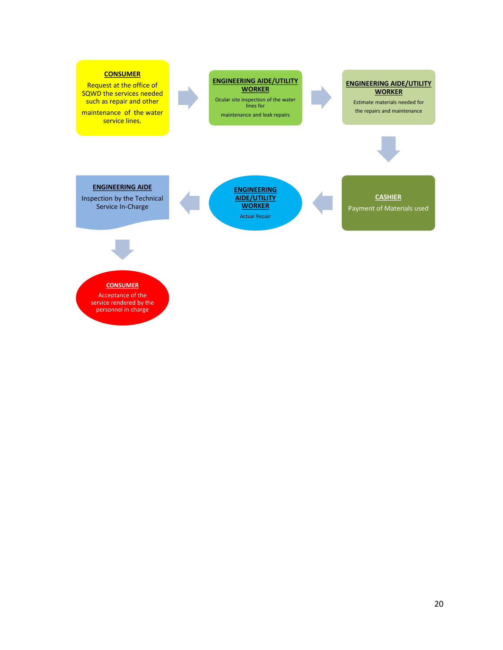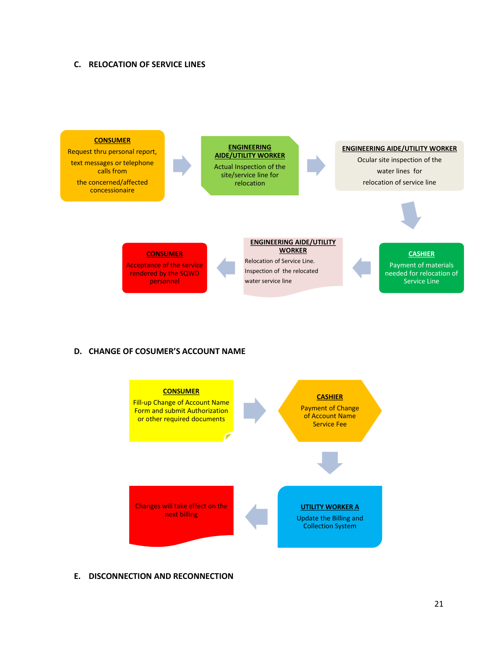#### **C. RELOCATION OF SERVICE LINES**



# **D. CHANGE OF COSUMER'S ACCOUNT NAME**



#### **E. DISCONNECTION AND RECONNECTION**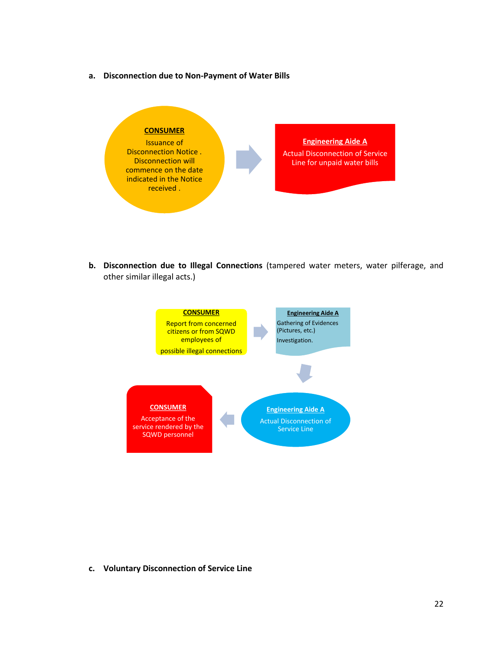**a. Disconnection due to Non-Payment of Water Bills**



**b. Disconnection due to Illegal Connections** (tampered water meters, water pilferage, and other similar illegal acts.)



**c. Voluntary Disconnection of Service Line**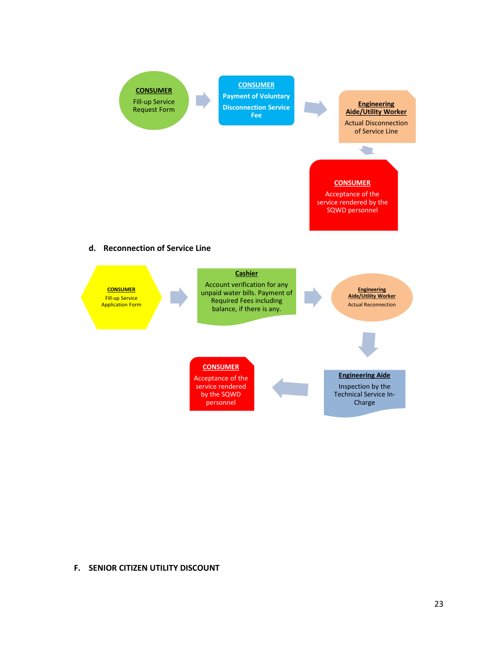

#### **F. SENIOR CITIZEN UTILITY DISCOUNT**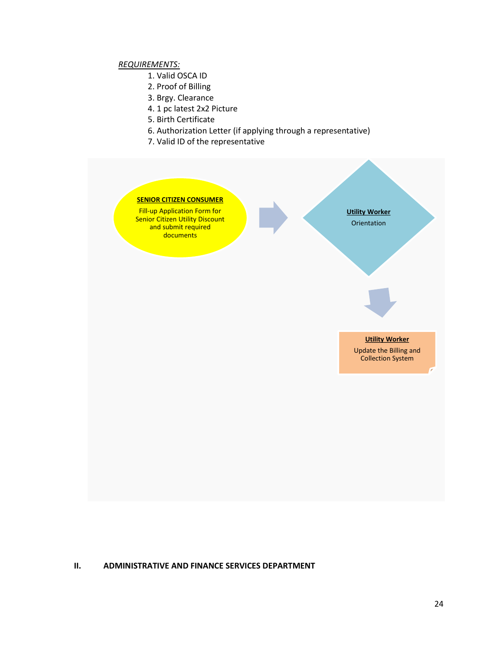# *REQUIREMENTS:*

- 1. Valid OSCA ID
- 2. Proof of Billing
- 3. Brgy. Clearance
- 4. 1 pc latest 2x2 Picture
- 5. Birth Certificate
- 6. Authorization Letter (if applying through a representative)
- 7. Valid ID of the representative



#### **II. ADMINISTRATIVE AND FINANCE SERVICES DEPARTMENT**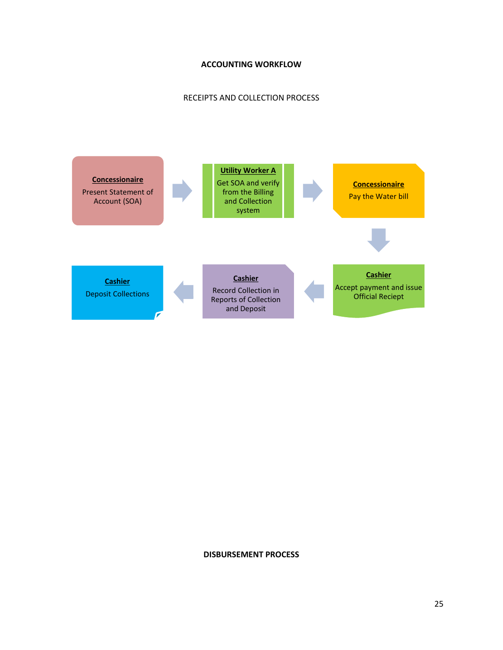# **ACCOUNTING WORKFLOW**

# RECEIPTS AND COLLECTION PROCESS



#### **DISBURSEMENT PROCESS**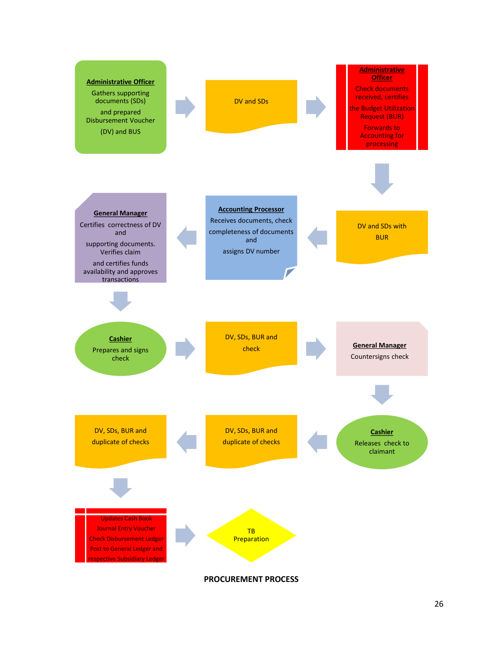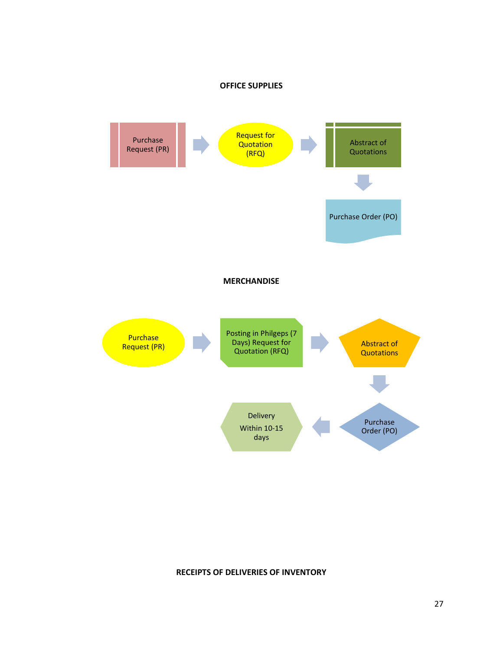



#### **RECEIPTS OF DELIVERIES OF INVENTORY**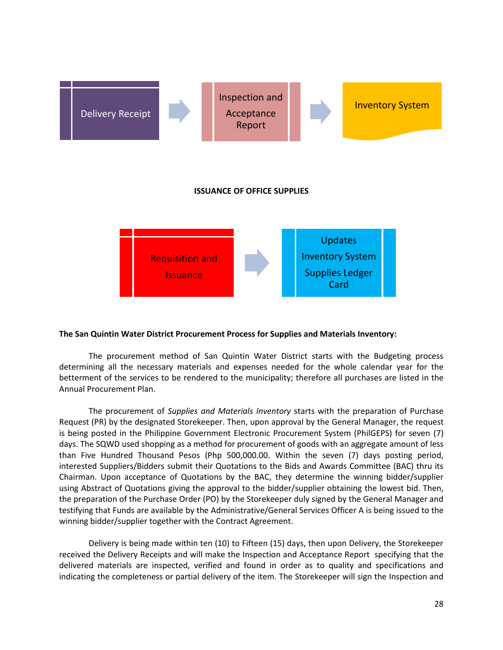

#### **The San Quintin Water District Procurement Process for Supplies and Materials Inventory:**

The procurement method of San Quintin Water District starts with the Budgeting process determining all the necessary materials and expenses needed for the whole calendar year for the betterment of the services to be rendered to the municipality; therefore all purchases are listed in the Annual Procurement Plan.

The procurement of *Supplies and Materials Inventory* starts with the preparation of Purchase Request (PR) by the designated Storekeeper. Then, upon approval by the General Manager, the request is being posted in the Philippine Government Electronic Procurement System (PhilGEPS) for seven (7) days. The SQWD used shopping as a method for procurement of goods with an aggregate amount of less than Five Hundred Thousand Pesos (Php 500,000.00. Within the seven (7) days posting period, interested Suppliers/Bidders submit their Quotations to the Bids and Awards Committee (BAC) thru its Chairman. Upon acceptance of Quotations by the BAC, they determine the winning bidder/supplier using Abstract of Quotations giving the approval to the bidder/supplier obtaining the lowest bid. Then, the preparation of the Purchase Order (PO) by the Storekeeper duly signed by the General Manager and testifying that Funds are available by the Administrative/General Services Officer A is being issued to the winning bidder/supplier together with the Contract Agreement.

Delivery is being made within ten (10) to Fifteen (15) days, then upon Delivery, the Storekeeper received the Delivery Receipts and will make the Inspection and Acceptance Report specifying that the delivered materials are inspected, verified and found in order as to quality and specifications and indicating the completeness or partial delivery of the item. The Storekeeper will sign the Inspection and